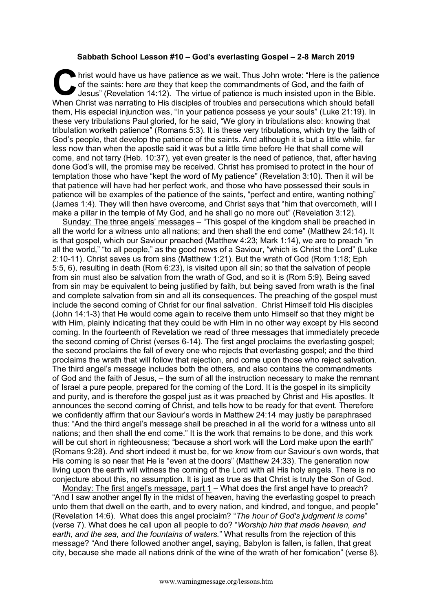## **Sabbath School Lesson #10 – God's everlasting Gospel – 2-8 March 2019**

hrist would have us have patience as we wait. Thus John wrote: "Here is the patience of the saints: here *are* they that keep the commandments of God, and the faith of Jesus" (Revelation 14:12). The virtue of patience is m of the saints: here *are* they that keep the commandments of God, and the faith of Jesus" (Revelation 14:12). The virtue of patience is much insisted upon in the Bible. When Christ was narrating to His disciples of troubles and persecutions which should befall them, His especial injunction was, "In your patience possess ye your souls" (Luke 21:19). In these very tribulations Paul gloried, for he said, "We glory in tribulations also: knowing that tribulation worketh patience" (Romans 5:3). It is these very tribulations, which try the faith of God's people, that develop the patience of the saints. And although it is but a little while, far less now than when the apostle said it was but a little time before He that shall come will come, and not tarry (Heb. 10:37), yet even greater is the need of patience, that, after having done God's will, the promise may be received. Christ has promised to protect in the hour of temptation those who have "kept the word of My patience" (Revelation 3:10). Then it will be that patience will have had her perfect work, and those who have possessed their souls in patience will be examples of the patience of the saints, "perfect and entire, wanting nothing" (James 1:4). They will then have overcome, and Christ says that "him that overcometh, will I make a pillar in the temple of My God, and he shall go no more out" (Revelation 3:12).

Sunday: The three angels' messages – "This gospel of the kingdom shall be preached in all the world for a witness unto all nations; and then shall the end come" (Matthew 24:14). It is that gospel, which our Saviour preached (Matthew 4:23; Mark 1:14), we are to preach "in all the world," "to all people," as the good news of a Saviour, "which is Christ the Lord" (Luke 2:10-11). Christ saves us from sins (Matthew 1:21). But the wrath of God (Rom 1:18; Eph 5:5, 6), resulting in death (Rom 6:23), is visited upon all sin; so that the salvation of people from sin must also be salvation from the wrath of God, and so it is (Rom 5:9). Being saved from sin may be equivalent to being justified by faith, but being saved from wrath is the final and complete salvation from sin and all its consequences. The preaching of the gospel must include the second coming of Christ for our final salvation. Christ Himself told His disciples (John 14:1-3) that He would come again to receive them unto Himself so that they might be with Him, plainly indicating that they could be with Him in no other way except by His second coming. In the fourteenth of Revelation we read of three messages that immediately precede the second coming of Christ (verses 6-14). The first angel proclaims the everlasting gospel; the second proclaims the fall of every one who rejects that everlasting gospel; and the third proclaims the wrath that will follow that rejection, and come upon those who reject salvation. The third angel's message includes both the others, and also contains the commandments of God and the faith of Jesus, – the sum of all the instruction necessary to make the remnant of Israel a pure people, prepared for the coming of the Lord. It is the gospel in its simplicity and purity, and is therefore the gospel just as it was preached by Christ and His apostles. It announces the second coming of Christ, and tells how to be ready for that event. Therefore we confidently affirm that our Saviour's words in Matthew 24:14 may justly be paraphrased thus: "And the third angel's message shall be preached in all the world for a witness unto all nations; and then shall the end come." It is the work that remains to be done, and this work will be cut short in righteousness; "because a short work will the Lord make upon the earth" (Romans 9:28). And short indeed it must be, for we *know* from our Saviour's own words, that His coming is so near that He is "even at the doors" (Matthew 24:33). The generation now living upon the earth will witness the coming of the Lord with all His holy angels. There is no conjecture about this, no assumption. It is just as true as that Christ is truly the Son of God.

Monday: The first angel's message, part 1 – What does the first angel have to preach? "And I saw another angel fly in the midst of heaven, having the everlasting gospel to preach unto them that dwell on the earth, and to every nation, and kindred, and tongue, and people" (Revelation 14:6). What does this angel proclaim? "*The hour of God's judgment is come*" (verse 7). What does he call upon all people to do? "*Worship him that made heaven, and earth, and the sea, and the fountains of waters.*" What results from the rejection of this message? "And there followed another angel, saying, Babylon is fallen, is fallen, that great city, because she made all nations drink of the wine of the wrath of her fornication" (verse 8).